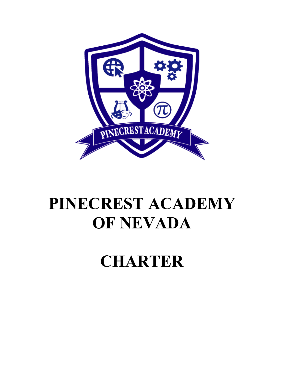

# **PINECREST ACADEMY OF NEVADA**

# **CHARTER**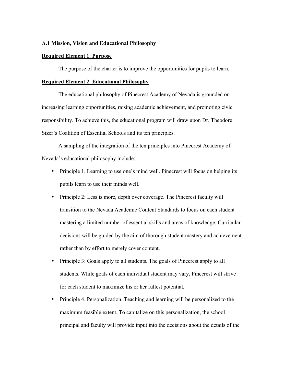### **A.1 Mission, Vision and Educational Philosophy**

### **Required Element 1. Purpose**

The purpose of the charter is to improve the opportunities for pupils to learn.

### **Required Element 2. Educational Philosophy**

The educational philosophy of Pinecrest Academy of Nevada is grounded on increasing learning opportunities, raising academic achievement, and promoting civic responsibility. To achieve this, the educational program will draw upon Dr. Theodore Sizer's Coalition of Essential Schools and its ten principles.

A sampling of the integration of the ten principles into Pinecrest Academy of Nevada's educational philosophy include:

- Principle 1. Learning to use one's mind well. Pinecrest will focus on helping its pupils learn to use their minds well.
- Principle 2: Less is more, depth over coverage. The Pinecrest faculty will transition to the Nevada Academic Content Standards to focus on each student mastering a limited number of essential skills and areas of knowledge. Curricular decisions will be guided by the aim of thorough student mastery and achievement rather than by effort to merely cover content.
- Principle 3: Goals apply to all students. The goals of Pinecrest apply to all students. While goals of each individual student may vary, Pinecrest will strive for each student to maximize his or her fullest potential.
- Principle 4. Personalization. Teaching and learning will be personalized to the maximum feasible extent. To capitalize on this personalization, the school principal and faculty will provide input into the decisions about the details of the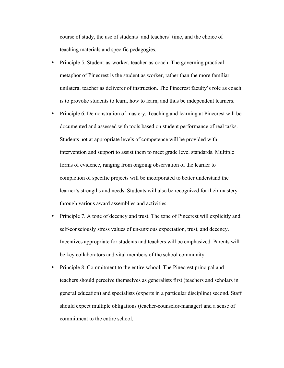course of study, the use of students' and teachers' time, and the choice of teaching materials and specific pedagogies.

- Principle 5. Student-as-worker, teacher-as-coach. The governing practical metaphor of Pinecrest is the student as worker, rather than the more familiar unilateral teacher as deliverer of instruction. The Pinecrest faculty's role as coach is to provoke students to learn, how to learn, and thus be independent learners.
- Principle 6. Demonstration of mastery. Teaching and learning at Pinecrest will be documented and assessed with tools based on student performance of real tasks. Students not at appropriate levels of competence will be provided with intervention and support to assist them to meet grade level standards. Multiple forms of evidence, ranging from ongoing observation of the learner to completion of specific projects will be incorporated to better understand the learner's strengths and needs. Students will also be recognized for their mastery through various award assemblies and activities.
- Principle 7. A tone of decency and trust. The tone of Pinecrest will explicitly and self-consciously stress values of un-anxious expectation, trust, and decency. Incentives appropriate for students and teachers will be emphasized. Parents will be key collaborators and vital members of the school community.
- Principle 8. Commitment to the entire school. The Pinecrest principal and teachers should perceive themselves as generalists first (teachers and scholars in general education) and specialists (experts in a particular discipline) second. Staff should expect multiple obligations (teacher-counselor-manager) and a sense of commitment to the entire school.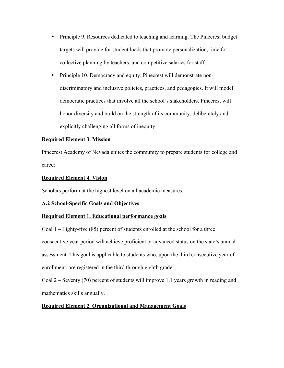- Principle 9. Resources dedicated to teaching and learning. The Pinecrest budget targets will provide for student loads that promote personalization, time for collective planning by teachers, and competitive salaries for staff.
- Principle 10. Democracy and equity. Pinecrest will demonstrate nondiscriminatory and inclusive policies, practices, and pedagogies. It will model democratic practices that involve all the school's stakeholders. Pinecrest will honor diversity and build on the strength of its community, deliberately and explicitly challenging all forms of inequity.

### **Required Element 3. Mission**

Pinecrest Academy of Nevada unites the community to prepare students for college and career.

### **Required Element 4. Vision**

Scholars perform at the highest level on all academic measures.

### **A.2 School-Specific Goals and Objectives**

### **Required Element 1. Educational performance goals**

Goal 1 – Eighty-five (85) percent of students enrolled at the school for a three consecutive year period will achieve proficient or advanced status on the state's annual assessment. This goal is applicable to students who, upon the third consecutive year of enrollment, are registered in the third through eighth grade.

Goal 2 – Seventy (70) percent of students will improve 1.1 years growth in reading and mathematics skills annually.

### **Required Element 2. Organizational and Management Goals**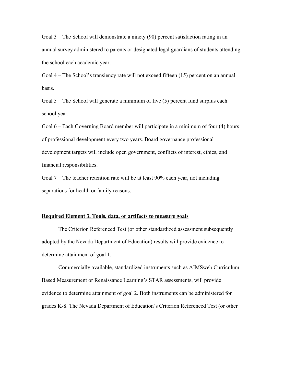Goal 3 – The School will demonstrate a ninety (90) percent satisfaction rating in an annual survey administered to parents or designated legal guardians of students attending the school each academic year.

Goal 4 – The School's transiency rate will not exceed fifteen (15) percent on an annual basis.

Goal 5 – The School will generate a minimum of five (5) percent fund surplus each school year.

Goal 6 – Each Governing Board member will participate in a minimum of four (4) hours of professional development every two years. Board governance professional development targets will include open government, conflicts of interest, ethics, and financial responsibilities.

Goal 7 – The teacher retention rate will be at least 90% each year, not including separations for health or family reasons.

### **Required Element 3. Tools, data, or artifacts to measure goals**

The Criterion Referenced Test (or other standardized assessment subsequently adopted by the Nevada Department of Education) results will provide evidence to determine attainment of goal 1.

Commercially available, standardized instruments such as AIMSweb Curriculum-Based Measurement or Renaissance Learning's STAR assessments, will provide evidence to determine attainment of goal 2. Both instruments can be administered for grades K-8. The Nevada Department of Education's Criterion Referenced Test (or other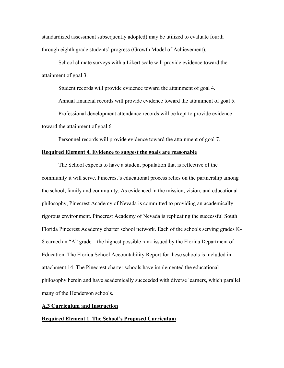standardized assessment subsequently adopted) may be utilized to evaluate fourth through eighth grade students' progress (Growth Model of Achievement).

School climate surveys with a Likert scale will provide evidence toward the attainment of goal 3.

Student records will provide evidence toward the attainment of goal 4.

Annual financial records will provide evidence toward the attainment of goal 5.

Professional development attendance records will be kept to provide evidence toward the attainment of goal 6.

Personnel records will provide evidence toward the attainment of goal 7.

### **Required Element 4. Evidence to suggest the goals are reasonable**

The School expects to have a student population that is reflective of the community it will serve. Pinecrest's educational process relies on the partnership among the school, family and community. As evidenced in the mission, vision, and educational philosophy, Pinecrest Academy of Nevada is committed to providing an academically rigorous environment. Pinecrest Academy of Nevada is replicating the successful South Florida Pinecrest Academy charter school network. Each of the schools serving grades K-8 earned an "A" grade – the highest possible rank issued by the Florida Department of Education. The Florida School Accountability Report for these schools is included in attachment 14. The Pinecrest charter schools have implemented the educational philosophy herein and have academically succeeded with diverse learners, which parallel many of the Henderson schools.

### **A.3 Curriculum and Instruction**

#### **Required Element 1. The School's Proposed Curriculum**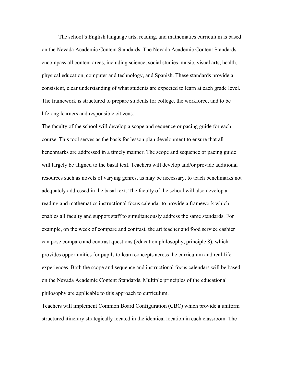The school's English language arts, reading, and mathematics curriculum is based on the Nevada Academic Content Standards. The Nevada Academic Content Standards encompass all content areas, including science, social studies, music, visual arts, health, physical education, computer and technology, and Spanish. These standards provide a consistent, clear understanding of what students are expected to learn at each grade level. The framework is structured to prepare students for college, the workforce, and to be lifelong learners and responsible citizens.

The faculty of the school will develop a scope and sequence or pacing guide for each course. This tool serves as the basis for lesson plan development to ensure that all benchmarks are addressed in a timely manner. The scope and sequence or pacing guide will largely be aligned to the basal text. Teachers will develop and/or provide additional resources such as novels of varying genres, as may be necessary, to teach benchmarks not adequately addressed in the basal text. The faculty of the school will also develop a reading and mathematics instructional focus calendar to provide a framework which enables all faculty and support staff to simultaneously address the same standards. For example, on the week of compare and contrast, the art teacher and food service cashier can pose compare and contrast questions (education philosophy, principle 8), which provides opportunities for pupils to learn concepts across the curriculum and real-life experiences. Both the scope and sequence and instructional focus calendars will be based on the Nevada Academic Content Standards. Multiple principles of the educational philosophy are applicable to this approach to curriculum.

Teachers will implement Common Board Configuration (CBC) which provide a uniform structured itinerary strategically located in the identical location in each classroom. The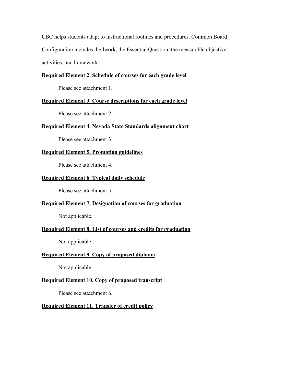CBC helps students adapt to instructional routines and procedures. Common Board Configuration includes: bellwork, the Essential Question, the measurable objective, activities, and homework.

### **Required Element 2. Schedule of courses for each grade level**

Please see attachment 1.

### **Required Element 3. Course descriptions for each grade level**

Please see attachment 2.

### **Required Element 4. Nevada State Standards alignment chart**

Please see attachment 3.

### **Required Element 5. Promotion guidelines**

Please see attachment 4.

### **Required Element 6. Typical daily schedule**

Please see attachment 5.

### **Required Element 7. Designation of courses for graduation**

Not applicable.

### **Required Element 8. List of courses and credits for graduation**

Not applicable.

### **Required Element 9. Copy of proposed diploma**

Not applicable.

### **Required Element 10. Copy of proposed transcript**

Please see attachment 6.

### **Required Element 11. Transfer of credit policy**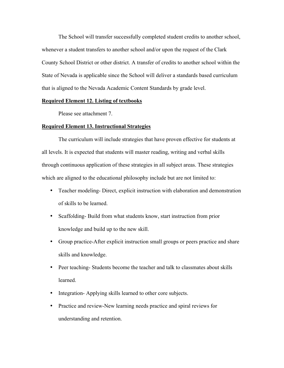The School will transfer successfully completed student credits to another school, whenever a student transfers to another school and/or upon the request of the Clark County School District or other district. A transfer of credits to another school within the State of Nevada is applicable since the School will deliver a standards based curriculum that is aligned to the Nevada Academic Content Standards by grade level.

### **Required Element 12. Listing of textbooks**

Please see attachment 7.

### **Required Element 13. Instructional Strategies**

The curriculum will include strategies that have proven effective for students at all levels. It is expected that students will master reading, writing and verbal skills through continuous application of these strategies in all subject areas. These strategies which are aligned to the educational philosophy include but are not limited to:

- Teacher modeling- Direct, explicit instruction with elaboration and demonstration of skills to be learned.
- Scaffolding- Build from what students know, start instruction from prior knowledge and build up to the new skill.
- Group practice-After explicit instruction small groups or peers practice and share skills and knowledge.
- Peer teaching-Students become the teacher and talk to classmates about skills learned.
- Integration-Applying skills learned to other core subjects.
- Practice and review-New learning needs practice and spiral reviews for understanding and retention.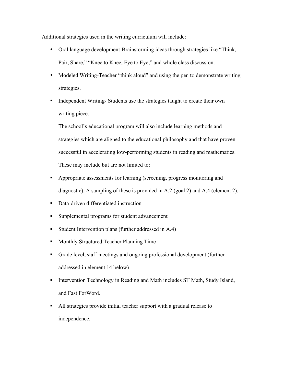Additional strategies used in the writing curriculum will include:

- Oral language development-Brainstorming ideas through strategies like "Think, Pair, Share," "Knee to Knee, Eye to Eye," and whole class discussion.
- Modeled Writing-Teacher "think aloud" and using the pen to demonstrate writing strategies.
- Independent Writing-Students use the strategies taught to create their own writing piece.

The school's educational program will also include learning methods and strategies which are aligned to the educational philosophy and that have proven successful in accelerating low-performing students in reading and mathematics. These may include but are not limited to:

- ! Appropriate assessments for learning (screening, progress monitoring and diagnostic). A sampling of these is provided in A.2 (goal 2) and A.4 (element 2).
- ! Data-driven differentiated instruction
- ! Supplemental programs for student advancement
- ! Student Intervention plans (further addressed in A.4)
- ! Monthly Structured Teacher Planning Time
- Grade level, staff meetings and ongoing professional development (further addressed in element 14 below)
- ! Intervention Technology in Reading and Math includes ST Math, Study Island, and Fast ForWord.
- ! All strategies provide initial teacher support with a gradual release to independence.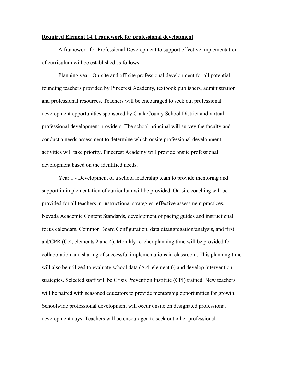### **Required Element 14. Framework for professional development**

A framework for Professional Development to support effective implementation of curriculum will be established as follows:

Planning year- On-site and off-site professional development for all potential founding teachers provided by Pinecrest Academy, textbook publishers, administration and professional resources. Teachers will be encouraged to seek out professional development opportunities sponsored by Clark County School District and virtual professional development providers. The school principal will survey the faculty and conduct a needs assessment to determine which onsite professional development activities will take priority. Pinecrest Academy will provide onsite professional development based on the identified needs.

Year 1 - Development of a school leadership team to provide mentoring and support in implementation of curriculum will be provided. On-site coaching will be provided for all teachers in instructional strategies, effective assessment practices, Nevada Academic Content Standards, development of pacing guides and instructional focus calendars, Common Board Configuration, data disaggregation/analysis, and first aid/CPR (C.4, elements 2 and 4). Monthly teacher planning time will be provided for collaboration and sharing of successful implementations in classroom. This planning time will also be utilized to evaluate school data  $(A.4,$  element 6) and develop intervention strategies. Selected staff will be Crisis Prevention Institute (CPI) trained. New teachers will be paired with seasoned educators to provide mentorship opportunities for growth. Schoolwide professional development will occur onsite on designated professional development days. Teachers will be encouraged to seek out other professional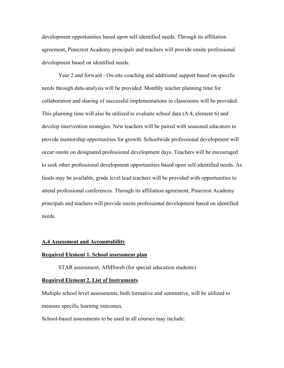development opportunities based upon self-identified needs. Through its affiliation agreement, Pinecrest Academy principals and teachers will provide onsite professional development based on identified needs.

Year 2 and forward - On-site coaching and additional support based on specific needs through data-analysis will be provided. Monthly teacher planning time for collaboration and sharing of successful implementations in classrooms will be provided. This planning time will also be utilized to evaluate school data (A.4, element 6) and develop intervention strategies. New teachers will be paired with seasoned educators to provide mentorship opportunities for growth. Schoolwide professional development will occur onsite on designated professional development days. Teachers will be encouraged to seek other professional development opportunities based upon self-identified needs. As funds may be available, grade level lead teachers will be provided with opportunities to attend professional conferences. Through its affiliation agreement, Pinecrest Academy principals and teachers will provide onsite professional development based on identified needs.

#### **A.4 Assessment and Accountability**

### **Required Element 1. School assessment plan**

STAR assessment, AIMSweb (for special education students)

#### **Required Element 2. List of Instruments**

Multiple school level assessments, both formative and summative, will be utilized to measure specific learning outcomes.

School-based assessments to be used in all courses may include: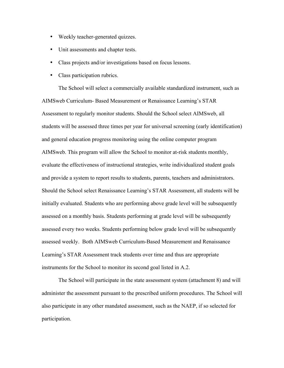- Weekly teacher-generated quizzes.
- Unit assessments and chapter tests.
- Class projects and/or investigations based on focus lessons.
- Class participation rubrics.

The School will select a commercially available standardized instrument, such as AIMSweb Curriculum- Based Measurement or Renaissance Learning's STAR Assessment to regularly monitor students. Should the School select AIMSweb, all students will be assessed three times per year for universal screening (early identification) and general education progress monitoring using the online computer program AIMSweb. This program will allow the School to monitor at-risk students monthly, evaluate the effectiveness of instructional strategies, write individualized student goals and provide a system to report results to students, parents, teachers and administrators. Should the School select Renaissance Learning's STAR Assessment, all students will be initially evaluated. Students who are performing above grade level will be subsequently assessed on a monthly basis. Students performing at grade level will be subsequently assessed every two weeks. Students performing below grade level will be subsequently assessed weekly. Both AIMSweb Curriculum-Based Measurement and Renaissance Learning's STAR Assessment track students over time and thus are appropriate instruments for the School to monitor its second goal listed in A.2.

The School will participate in the state assessment system (attachment 8) and will administer the assessment pursuant to the prescribed uniform procedures. The School will also participate in any other mandated assessment, such as the NAEP, if so selected for participation.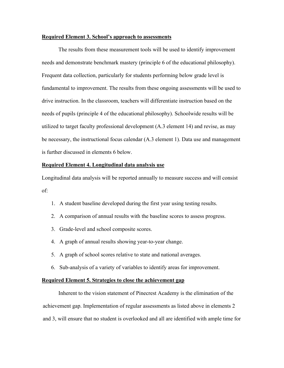### **Required Element 3. School's approach to assessments**

The results from these measurement tools will be used to identify improvement needs and demonstrate benchmark mastery (principle 6 of the educational philosophy). Frequent data collection, particularly for students performing below grade level is fundamental to improvement. The results from these ongoing assessments will be used to drive instruction. In the classroom, teachers will differentiate instruction based on the needs of pupils (principle 4 of the educational philosophy). Schoolwide results will be utilized to target faculty professional development (A.3 element 14) and revise, as may be necessary, the instructional focus calendar (A.3 element 1). Data use and management is further discussed in elements 6 below.

### **Required Element 4. Longitudinal data analysis use**

Longitudinal data analysis will be reported annually to measure success and will consist of:

- 1. A student baseline developed during the first year using testing results.
- 2. A comparison of annual results with the baseline scores to assess progress.
- 3. Grade-level and school composite scores.
- 4. A graph of annual results showing year-to-year change.
- 5. A graph of school scores relative to state and national averages.
- 6. Sub-analysis of a variety of variables to identify areas for improvement.

#### **Required Element 5. Strategies to close the achievement gap**

Inherent to the vision statement of Pinecrest Academy is the elimination of the achievement gap. Implementation of regular assessments as listed above in elements 2 and 3, will ensure that no student is overlooked and all are identified with ample time for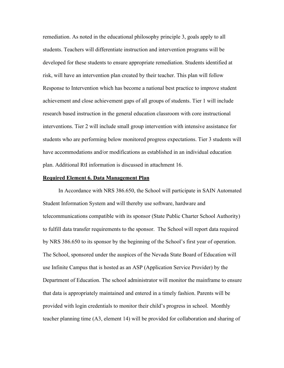remediation. As noted in the educational philosophy principle 3, goals apply to all students. Teachers will differentiate instruction and intervention programs will be developed for these students to ensure appropriate remediation. Students identified at risk, will have an intervention plan created by their teacher. This plan will follow Response to Intervention which has become a national best practice to improve student achievement and close achievement gaps of all groups of students. Tier 1 will include research based instruction in the general education classroom with core instructional interventions. Tier 2 will include small group intervention with intensive assistance for students who are performing below monitored progress expectations. Tier 3 students will have accommodations and/or modifications as established in an individual education plan. Additional RtI information is discussed in attachment 16.

#### **Required Element 6. Data Management Plan**

In Accordance with NRS 386.650, the School will participate in SAIN Automated Student Information System and will thereby use software, hardware and telecommunications compatible with its sponsor (State Public Charter School Authority) to fulfill data transfer requirements to the sponsor. The School will report data required by NRS 386.650 to its sponsor by the beginning of the School's first year of operation. The School, sponsored under the auspices of the Nevada State Board of Education will use Infinite Campus that is hosted as an ASP (Application Service Provider) by the Department of Education. The school administrator will monitor the mainframe to ensure that data is appropriately maintained and entered in a timely fashion. Parents will be provided with login credentials to monitor their child's progress in school. Monthly teacher planning time (A3, element 14) will be provided for collaboration and sharing of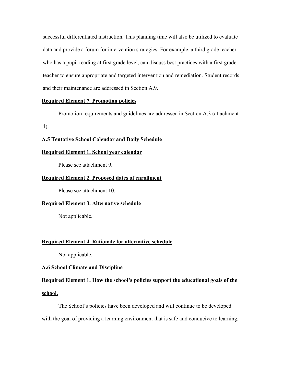successful differentiated instruction. This planning time will also be utilized to evaluate data and provide a forum for intervention strategies. For example, a third grade teacher who has a pupil reading at first grade level, can discuss best practices with a first grade teacher to ensure appropriate and targeted intervention and remediation. Student records and their maintenance are addressed in Section A.9.

### **Required Element 7. Promotion policies**

Promotion requirements and guidelines are addressed in Section A.3 (attachment

4).

### **A.5 Tentative School Calendar and Daily Schedule**

### **Required Element 1. School year calendar**

Please see attachment 9.

### **Required Element 2. Proposed dates of enrollment**

Please see attachment 10.

### **Required Element 3. Alternative schedule**

Not applicable.

#### **Required Element 4. Rationale for alternative schedule**

Not applicable.

#### **A.6 School Climate and Discipline**

# **Required Element 1. How the school's policies support the educational goals of the school.**

The School's policies have been developed and will continue to be developed with the goal of providing a learning environment that is safe and conducive to learning.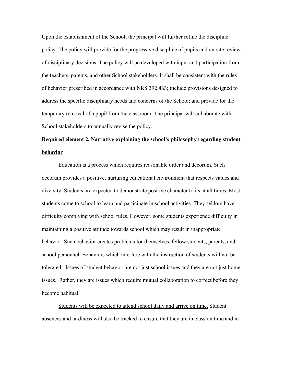Upon the establishment of the School, the principal will further refine the discipline policy. The policy will provide for the progressive discipline of pupils and on-site review of disciplinary decisions. The policy will be developed with input and participation from the teachers, parents, and other School stakeholders. It shall be consistent with the rules of behavior prescribed in accordance with NRS 392.463; include provisions designed to address the specific disciplinary needs and concerns of the School; and provide for the temporary removal of a pupil from the classroom. The principal will collaborate with School stakeholders to annually revise the policy.

# **Required element 2. Narrative explaining the school's philosophy regarding student behavior**

Education is a process which requires reasonable order and decorum. Such decorum provides a positive, nurturing educational environment that respects values and diversity. Students are expected to demonstrate positive character traits at all times. Most students come to school to learn and participate in school activities. They seldom have difficulty complying with school rules. However, some students experience difficulty in maintaining a positive attitude towards school which may result in inappropriate behavior. Such behavior creates problems for themselves, fellow students, parents, and school personnel. Behaviors which interfere with the instruction of students will not be tolerated. Issues of student behavior are not just school issues and they are not just home issues. Rather, they are issues which require mutual collaboration to correct before they become habitual.

Students will be expected to attend school daily and arrive on time. Student absences and tardiness will also be tracked to ensure that they are in class on time and in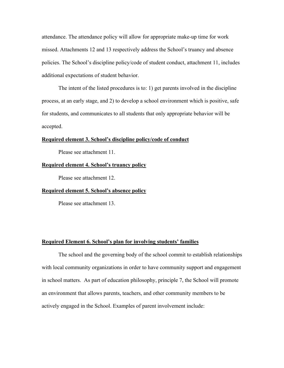attendance. The attendance policy will allow for appropriate make-up time for work missed. Attachments 12 and 13 respectively address the School's truancy and absence policies. The School's discipline policy/code of student conduct, attachment 11, includes additional expectations of student behavior.

The intent of the listed procedures is to: 1) get parents involved in the discipline process, at an early stage, and 2) to develop a school environment which is positive, safe for students, and communicates to all students that only appropriate behavior will be accepted.

#### **Required element 3. School's discipline policy/code of conduct**

Please see attachment 11.

### **Required element 4. School's truancy policy**

Please see attachment 12.

### **Required element 5. School's absence policy**

Please see attachment 13.

### **Required Element 6. School's plan for involving students' families**

The school and the governing body of the school commit to establish relationships with local community organizations in order to have community support and engagement in school matters. As part of education philosophy, principle 7, the School will promote an environment that allows parents, teachers, and other community members to be actively engaged in the School. Examples of parent involvement include: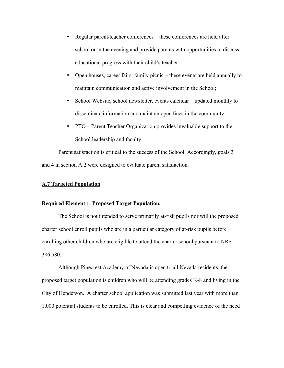- Regular parent/teacher conferences these conferences are held after school or in the evening and provide parents with opportunities to discuss educational progress with their child's teacher;
- Open houses, career fairs, family picnic these events are held annually to maintain communication and active involvement in the School;
- School Website, school newsletter, events calendar updated monthly to disseminate information and maintain open lines in the community;
- PTO Parent Teacher Organization provides invaluable support to the School leadership and faculty

Parent satisfaction is critical to the success of the School. Accordingly, goals 3 and 4 in section A.2 were designed to evaluate parent satisfaction.

### **A.7 Targeted Population**

### **Required Element 1. Proposed Target Population.**

The School is not intended to serve primarily at-risk pupils nor will the proposed charter school enroll pupils who are in a particular category of at-risk pupils before enrolling other children who are eligible to attend the charter school pursuant to NRS 386.580.

Although Pinecrest Academy of Nevada is open to all Nevada residents, the proposed target population is children who will be attending grades K-8 and living in the City of Henderson. A charter school application was submitted last year with more than 1,000 potential students to be enrolled. This is clear and compelling evidence of the need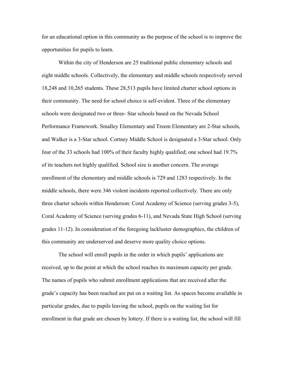for an educational option in this community as the purpose of the school is to improve the opportunities for pupils to learn.

Within the city of Henderson are 25 traditional public elementary schools and eight middle schools. Collectively, the elementary and middle schools respectively served 18,248 and 10,265 students. These 28,513 pupils have limited charter school options in their community. The need for school choice is self-evident. Three of the elementary schools were designated two or three- Star schools based on the Nevada School Performance Framework. Smalley Elementary and Treem Elementary are 2-Star schools, and Walker is a 3-Star school. Cortney Middle School is designated a 3-Star school. Only four of the 33 schools had 100% of their faculty highly qualified; one school had 19.7% of its teachers not highly qualified. School size is another concern. The average enrollment of the elementary and middle schools is 729 and 1283 respectively. In the middle schools, there were 346 violent incidents reported collectively. There are only three charter schools within Henderson: Coral Academy of Science (serving grades 3-5), Coral Academy of Science (serving grades 6-11), and Nevada State High School (serving grades 11-12). In consideration of the foregoing lackluster demographics, the children of this community are underserved and deserve more quality choice options.

The school will enroll pupils in the order in which pupils' applications are received, up to the point at which the school reaches its maximum capacity per grade. The names of pupils who submit enrollment applications that are received after the grade's capacity has been reached are put on a waiting list. As spaces become available in particular grades, due to pupils leaving the school, pupils on the waiting list for enrollment in that grade are chosen by lottery. If there is a waiting list, the school will fill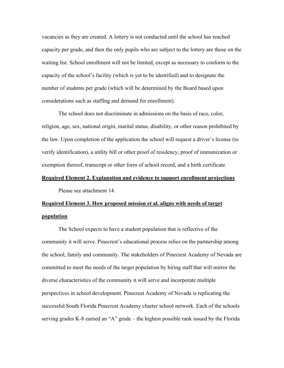vacancies as they are created. A lottery is not conducted until the school has reached capacity per grade, and then the only pupils who are subject to the lottery are those on the waiting list. School enrollment will not be limited, except as necessary to conform to the capacity of the school's facility (which is yet to be identified) and to designate the number of students per grade (which will be determined by the Board based upon considerations such as staffing and demand for enrollment).

The school does not discriminate in admissions on the basis of race, color, religion, age, sex, national origin, marital status, disability, or other reason prohibited by the law. Upon completion of the application the school will request a driver's license (to verify identification), a utility bill or other proof of residency, proof of immunization or exemption thereof, transcript or other form of school record, and a birth certificate.

### **Required Element 2. Explanation and evidence to support enrollment projections**

Please see attachment 14.

# **Required Element 3. How proposed mission et al. aligns with needs of target population**

The School expects to have a student population that is reflective of the community it will serve. Pinecrest's educational process relies on the partnership among the school, family and community. The stakeholders of Pinecrest Academy of Nevada are committed to meet the needs of the target population by hiring staff that will mirror the diverse characteristics of the community it will serve and incorporate multiple perspectives in school development. Pinecrest Academy of Nevada is replicating the successful South Florida Pinecrest Academy charter school network. Each of the schools serving grades K-8 earned an "A" grade – the highest possible rank issued by the Florida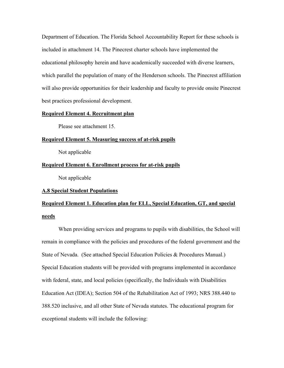Department of Education. The Florida School Accountability Report for these schools is included in attachment 14. The Pinecrest charter schools have implemented the educational philosophy herein and have academically succeeded with diverse learners, which parallel the population of many of the Henderson schools. The Pinecrest affiliation will also provide opportunities for their leadership and faculty to provide onsite Pinecrest best practices professional development.

### **Required Element 4. Recruitment plan**

Please see attachment 15.

### **Required Element 5. Measuring success of at-risk pupils**

Not applicable

### **Required Element 6. Enrollment process for at-risk pupils**

Not applicable

### **A.8 Special Student Populations**

# **Required Element 1. Education plan for ELL, Special Education, GT, and special needs**

When providing services and programs to pupils with disabilities, the School will remain in compliance with the policies and procedures of the federal government and the State of Nevada. (See attached Special Education Policies & Procedures Manual.) Special Education students will be provided with programs implemented in accordance with federal, state, and local policies (specifically, the Individuals with Disabilities Education Act (IDEA); Section 504 of the Rehabilitation Act of 1993; NRS 388.440 to 388.520 inclusive, and all other State of Nevada statutes. The educational program for exceptional students will include the following: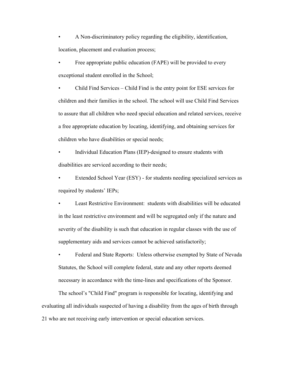• A Non-discriminatory policy regarding the eligibility, identification, location, placement and evaluation process;

Free appropriate public education (FAPE) will be provided to every exceptional student enrolled in the School;

• Child Find Services – Child Find is the entry point for ESE services for children and their families in the school. The school will use Child Find Services to assure that all children who need special education and related services, receive a free appropriate education by locating, identifying, and obtaining services for children who have disabilities or special needs;

• Individual Education Plans (IEP)-designed to ensure students with disabilities are serviced according to their needs;

Extended School Year (ESY) - for students needing specialized services as required by students' IEPs;

• Least Restrictive Environment: students with disabilities will be educated in the least restrictive environment and will be segregated only if the nature and severity of the disability is such that education in regular classes with the use of supplementary aids and services cannot be achieved satisfactorily;

• Federal and State Reports: Unless otherwise exempted by State of Nevada Statutes, the School will complete federal, state and any other reports deemed necessary in accordance with the time-lines and specifications of the Sponsor.

The school's "Child Find" program is responsible for locating, identifying and evaluating all individuals suspected of having a disability from the ages of birth through 21 who are not receiving early intervention or special education services.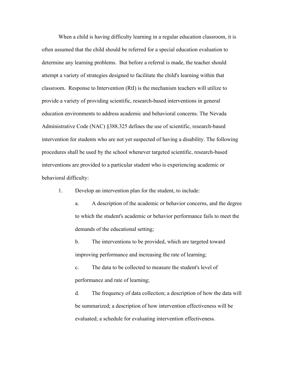When a child is having difficulty learning in a regular education classroom, it is often assumed that the child should be referred for a special education evaluation to determine any learning problems. But before a referral is made, the teacher should attempt a variety of strategies designed to facilitate the child's learning within that classroom. Response to Intervention (RtI) is the mechanism teachers will utilize to provide a variety of providing scientific, research-based interventions in general education environments to address academic and behavioral concerns. The Nevada Administrative Code (NAC) §388.325 defines the use of scientific, research-based intervention for students who are not yet suspected of having a disability. The following procedures shall be used by the school whenever targeted scientific, research-based interventions are provided to a particular student who is experiencing academic or behavioral difficulty:

1. Develop an intervention plan for the student, to include:

a. A description of the academic or behavior concerns, and the degree to which the student's academic or behavior performance fails to meet the demands of the educational setting;

b. The interventions to be provided, which are targeted toward improving performance and increasing the rate of learning;

c. The data to be collected to measure the student's level of performance and rate of learning;

d. The frequency of data collection; a description of how the data will be summarized; a description of how intervention effectiveness will be evaluated; a schedule for evaluating intervention effectiveness.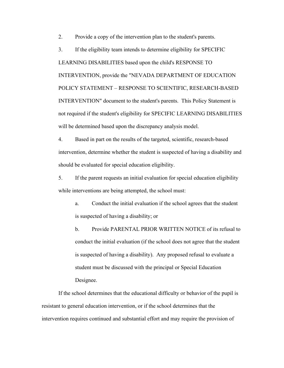2. Provide a copy of the intervention plan to the student's parents.

3. If the eligibility team intends to determine eligibility for SPECIFIC LEARNING DISABILITIES based upon the child's RESPONSE TO INTERVENTION, provide the "NEVADA DEPARTMENT OF EDUCATION POLICY STATEMENT – RESPONSE TO SCIENTIFIC, RESEARCH-BASED INTERVENTION" document to the student's parents. This Policy Statement is not required if the student's eligibility for SPECIFIC LEARNING DISABILITIES will be determined based upon the discrepancy analysis model.

4. Based in part on the results of the targeted, scientific, research-based intervention, determine whether the student is suspected of having a disability and should be evaluated for special education eligibility.

5. If the parent requests an initial evaluation for special education eligibility while interventions are being attempted, the school must:

a. Conduct the initial evaluation if the school agrees that the student is suspected of having a disability; or

b. Provide PARENTAL PRIOR WRITTEN NOTICE of its refusal to conduct the initial evaluation (if the school does not agree that the student is suspected of having a disability). Any proposed refusal to evaluate a student must be discussed with the principal or Special Education Designee.

If the school determines that the educational difficulty or behavior of the pupil is resistant to general education intervention, or if the school determines that the intervention requires continued and substantial effort and may require the provision of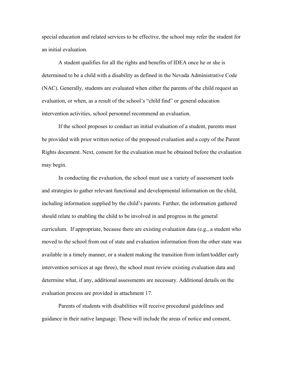special education and related services to be effective, the school may refer the student for an initial evaluation.

A student qualifies for all the rights and benefits of IDEA once he or she is determined to be a child with a disability as defined in the Nevada Administrative Code (NAC). Generally, students are evaluated when either the parents of the child request an evaluation, or when, as a result of the school's "child find" or general education intervention activities, school personnel recommend an evaluation.

If the school proposes to conduct an initial evaluation of a student, parents must be provided with prior written notice of the proposed evaluation and a copy of the Parent Rights document. Next, consent for the evaluation must be obtained before the evaluation may begin.

In conducting the evaluation, the school must use a variety of assessment tools and strategies to gather relevant functional and developmental information on the child, including information supplied by the child's parents. Further, the information gathered should relate to enabling the child to be involved in and progress in the general curriculum. If appropriate, because there are existing evaluation data (e.g., a student who moved to the school from out of state and evaluation information from the other state was available in a timely manner, or a student making the transition from infant/toddler early intervention services at age three), the school must review existing evaluation data and determine what, if any, additional assessments are necessary. Additional details on the evaluation process are provided in attachment 17.

Parents of students with disabilities will receive procedural guidelines and guidance in their native language. These will include the areas of notice and consent,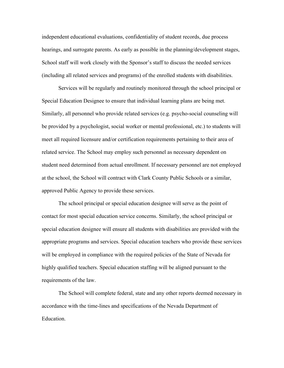independent educational evaluations, confidentiality of student records, due process hearings, and surrogate parents. As early as possible in the planning/development stages, School staff will work closely with the Sponsor's staff to discuss the needed services (including all related services and programs) of the enrolled students with disabilities.

Services will be regularly and routinely monitored through the school principal or Special Education Designee to ensure that individual learning plans are being met. Similarly, all personnel who provide related services (e.g. psycho-social counseling will be provided by a psychologist, social worker or mental professional, etc.) to students will meet all required licensure and/or certification requirements pertaining to their area of related service. The School may employ such personnel as necessary dependent on student need determined from actual enrollment. If necessary personnel are not employed at the school, the School will contract with Clark County Public Schools or a similar, approved Public Agency to provide these services.

The school principal or special education designee will serve as the point of contact for most special education service concerns. Similarly, the school principal or special education designee will ensure all students with disabilities are provided with the appropriate programs and services. Special education teachers who provide these services will be employed in compliance with the required policies of the State of Nevada for highly qualified teachers. Special education staffing will be aligned pursuant to the requirements of the law.

The School will complete federal, state and any other reports deemed necessary in accordance with the time-lines and specifications of the Nevada Department of Education.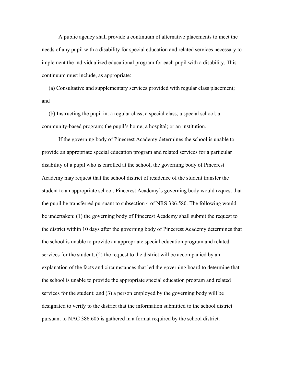A public agency shall provide a continuum of alternative placements to meet the needs of any pupil with a disability for special education and related services necessary to implement the individualized educational program for each pupil with a disability. This continuum must include, as appropriate:

 (a) Consultative and supplementary services provided with regular class placement; and

 (b) Instructing the pupil in: a regular class; a special class; a special school; a community-based program; the pupil's home; a hospital; or an institution.

If the governing body of Pinecrest Academy determines the school is unable to provide an appropriate special education program and related services for a particular disability of a pupil who is enrolled at the school, the governing body of Pinecrest Academy may request that the school district of residence of the student transfer the student to an appropriate school. Pinecrest Academy's governing body would request that the pupil be transferred pursuant to subsection 4 of NRS 386.580. The following would be undertaken: (1) the governing body of Pinecrest Academy shall submit the request to the district within 10 days after the governing body of Pinecrest Academy determines that the school is unable to provide an appropriate special education program and related services for the student; (2) the request to the district will be accompanied by an explanation of the facts and circumstances that led the governing board to determine that the school is unable to provide the appropriate special education program and related services for the student; and (3) a person employed by the governing body will be designated to verify to the district that the information submitted to the school district pursuant to NAC 386.605 is gathered in a format required by the school district.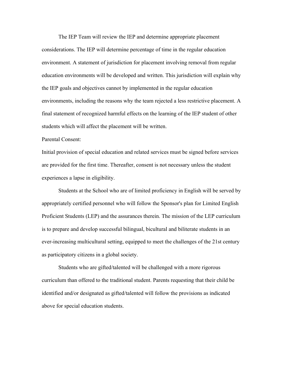The IEP Team will review the IEP and determine appropriate placement considerations. The IEP will determine percentage of time in the regular education environment. A statement of jurisdiction for placement involving removal from regular education environments will be developed and written. This jurisdiction will explain why the IEP goals and objectives cannot by implemented in the regular education environments, including the reasons why the team rejected a less restrictive placement. A final statement of recognized harmful effects on the learning of the IEP student of other students which will affect the placement will be written.

### Parental Consent:

Initial provision of special education and related services must be signed before services are provided for the first time. Thereafter, consent is not necessary unless the student experiences a lapse in eligibility.

Students at the School who are of limited proficiency in English will be served by appropriately certified personnel who will follow the Sponsor's plan for Limited English Proficient Students (LEP) and the assurances therein. The mission of the LEP curriculum is to prepare and develop successful bilingual, bicultural and biliterate students in an ever-increasing multicultural setting, equipped to meet the challenges of the 21st century as participatory citizens in a global society.

Students who are gifted/talented will be challenged with a more rigorous curriculum than offered to the traditional student. Parents requesting that their child be identified and/or designated as gifted/talented will follow the provisions as indicated above for special education students.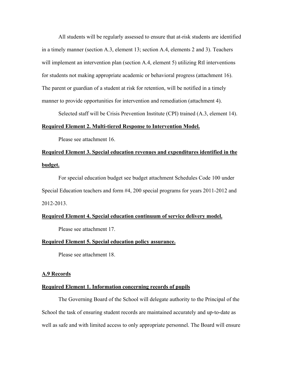All students will be regularly assessed to ensure that at-risk students are identified in a timely manner (section A.3, element 13; section A.4, elements 2 and 3). Teachers will implement an intervention plan (section A.4, element 5) utilizing RtI interventions for students not making appropriate academic or behavioral progress (attachment 16). The parent or guardian of a student at risk for retention, will be notified in a timely manner to provide opportunities for intervention and remediation (attachment 4).

Selected staff will be Crisis Prevention Institute (CPI) trained (A.3, element 14).

### **Required Element 2. Multi-tiered Response to Intervention Model.**

Please see attachment 16.

## **Required Element 3. Special education revenues and expenditures identified in the budget.**

For special education budget see budget attachment Schedules Code 100 under Special Education teachers and form #4, 200 special programs for years 2011-2012 and 2012-2013.

### **Required Element 4. Special education continuum of service delivery model.**

Please see attachment 17.

#### **Required Element 5. Special education policy assurance.**

Please see attachment 18.

### **A.9 Records**

### **Required Element 1. Information concerning records of pupils**

The Governing Board of the School will delegate authority to the Principal of the School the task of ensuring student records are maintained accurately and up-to-date as well as safe and with limited access to only appropriate personnel. The Board will ensure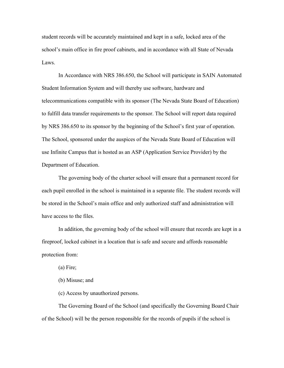student records will be accurately maintained and kept in a safe, locked area of the school's main office in fire proof cabinets, and in accordance with all State of Nevada Laws.

In Accordance with NRS 386.650, the School will participate in SAIN Automated Student Information System and will thereby use software, hardware and telecommunications compatible with its sponsor (The Nevada State Board of Education) to fulfill data transfer requirements to the sponsor. The School will report data required by NRS 386.650 to its sponsor by the beginning of the School's first year of operation. The School, sponsored under the auspices of the Nevada State Board of Education will use Infinite Campus that is hosted as an ASP (Application Service Provider) by the Department of Education.

The governing body of the charter school will ensure that a permanent record for each pupil enrolled in the school is maintained in a separate file. The student records will be stored in the School's main office and only authorized staff and administration will have access to the files.

In addition, the governing body of the school will ensure that records are kept in a fireproof, locked cabinet in a location that is safe and secure and affords reasonable protection from:

(a) Fire;

(b) Misuse; and

(c) Access by unauthorized persons.

The Governing Board of the School (and specifically the Governing Board Chair of the School) will be the person responsible for the records of pupils if the school is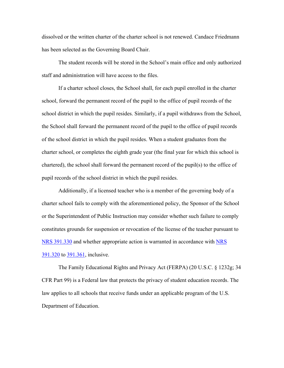dissolved or the written charter of the charter school is not renewed. Candace Friedmann has been selected as the Governing Board Chair.

The student records will be stored in the School's main office and only authorized staff and administration will have access to the files.

If a charter school closes, the School shall, for each pupil enrolled in the charter school, forward the permanent record of the pupil to the office of pupil records of the school district in which the pupil resides. Similarly, if a pupil withdraws from the School, the School shall forward the permanent record of the pupil to the office of pupil records of the school district in which the pupil resides. When a student graduates from the charter school, or completes the eighth grade year (the final year for which this school is chartered), the school shall forward the permanent record of the pupil(s) to the office of pupil records of the school district in which the pupil resides.

Additionally, if a licensed teacher who is a member of the governing body of a charter school fails to comply with the aforementioned policy, the Sponsor of the School or the Superintendent of Public Instruction may consider whether such failure to comply constitutes grounds for suspension or revocation of the license of the teacher pursuant to NRS 391.330 and whether appropriate action is warranted in accordance with NRS 391.320 to 391.361, inclusive.

The Family Educational Rights and Privacy Act (FERPA) (20 U.S.C. § 1232g; 34 CFR Part 99) is a Federal law that protects the privacy of student education records. The law applies to all schools that receive funds under an applicable program of the U.S. Department of Education.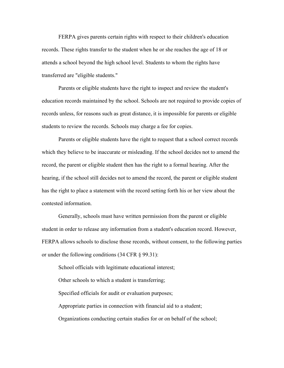FERPA gives parents certain rights with respect to their children's education records. These rights transfer to the student when he or she reaches the age of 18 or attends a school beyond the high school level. Students to whom the rights have transferred are "eligible students."

Parents or eligible students have the right to inspect and review the student's education records maintained by the school. Schools are not required to provide copies of records unless, for reasons such as great distance, it is impossible for parents or eligible students to review the records. Schools may charge a fee for copies.

Parents or eligible students have the right to request that a school correct records which they believe to be inaccurate or misleading. If the school decides not to amend the record, the parent or eligible student then has the right to a formal hearing. After the hearing, if the school still decides not to amend the record, the parent or eligible student has the right to place a statement with the record setting forth his or her view about the contested information.

Generally, schools must have written permission from the parent or eligible student in order to release any information from a student's education record. However, FERPA allows schools to disclose those records, without consent, to the following parties or under the following conditions (34 CFR § 99.31):

School officials with legitimate educational interest; Other schools to which a student is transferring; Specified officials for audit or evaluation purposes; Appropriate parties in connection with financial aid to a student; Organizations conducting certain studies for or on behalf of the school;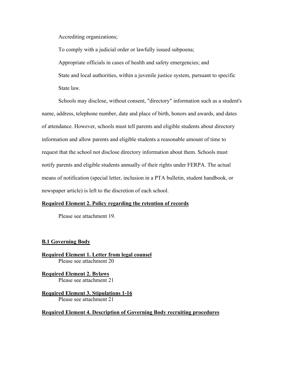Accrediting organizations;

To comply with a judicial order or lawfully issued subpoena; Appropriate officials in cases of health and safety emergencies; and State and local authorities, within a juvenile justice system, pursuant to specific State law.

Schools may disclose, without consent, "directory" information such as a student's name, address, telephone number, date and place of birth, honors and awards, and dates of attendance. However, schools must tell parents and eligible students about directory information and allow parents and eligible students a reasonable amount of time to request that the school not disclose directory information about them. Schools must notify parents and eligible students annually of their rights under FERPA. The actual means of notification (special letter, inclusion in a PTA bulletin, student handbook, or newspaper article) is left to the discretion of each school.

### **Required Element 2. Policy regarding the retention of records**

Please see attachment 19.

### **B.1 Governing Body**

**Required Element 1. Letter from legal counsel**  Please see attachment 20

**Required Element 2. Bylaws** Please see attachment 21

**Required Element 3. Stipulations 1-16** Please see attachment 21

### **Required Element 4. Description of Governing Body recruiting procedures**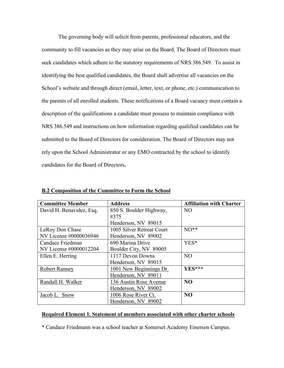The governing body will solicit from parents, professional educators, and the community to fill vacancies as they may arise on the Board. The Board of Directors must seek candidates which adhere to the statutory requirements of NRS 386.549. To assist in identifying the best qualified candidates, the Board shall advertise all vacancies on the School's website and through direct (email, letter, text, or phone, etc.) communication to the parents of all enrolled students. These notifications of a Board vacancy must contain a description of the qualifications a candidate must possess to maintain compliance with NRS 386.549 and instructions on how information regarding qualified candidates can be submitted to the Board of Directors for consideration. The Board of Directors may not rely upon the School Administrator or any EMO contracted by the school to identify candidates for the Board of Directors**.** 

| <b>Committee Member</b>  | <b>Address</b>            | <b>Affiliation with Charter</b> |
|--------------------------|---------------------------|---------------------------------|
| David H. Benavidez, Esq. | 850 S. Boulder Highway,   | N <sub>O</sub>                  |
|                          | #375                      |                                 |
|                          | Henderson, NV 89015       |                                 |
| LeRoy Don Chase          | 1005 Silver Retreat Court | $NO**$                          |
| NV License #0000036946   | Henderson, NV 89002       |                                 |
| Candace Friedman         | 690 Marina Drive          | YES*                            |
| NV License #0000012204   | Boulder City, NV 89005    |                                 |
| Ellen E. Herring         | 1117 Devon Downs          | N <sub>O</sub>                  |
|                          | Henderson, NV 89015       |                                 |
| <b>Robert Ranney</b>     | 1001 New Beginnings Dr.   | YES***                          |
|                          | Henderson, NV 89011       |                                 |
| Randall H. Walker        | 136 Austin Rose Avenue    | N <sub>O</sub>                  |
|                          | Henderson, NV 89002       |                                 |
| Jacob L. Snow            | 1006 Rose River Ct.       | N <sub>O</sub>                  |
|                          | Henderson, NV 89002       |                                 |

**B.2 Composition of the Committee to Form the School**

### **Required Element 1. Statement of members associated with other charter schools**

\* Candace Friedmann was a school teacher at Somerset Academy Emerson Campus.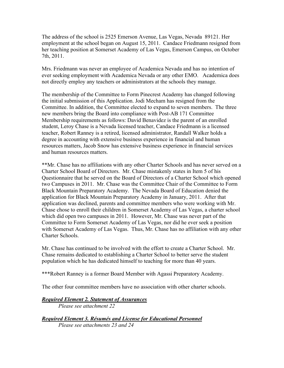The address of the school is 2525 Emerson Avenue, Las Vegas, Nevada 89121. Her employment at the school began on August 15, 2011. Candace Friedmann resigned from her teaching position at Somerset Academy of Las Vegas, Emerson Campus, on October 7th, 2011.

Mrs. Friedmann was never an employee of Academica Nevada and has no intention of ever seeking employment with Academica Nevada or any other EMO. Academica does not directly employ any teachers or administrators at the schools they manage.

The membership of the Committee to Form Pinecrest Academy has changed following the initial submission of this Application. Jodi Mecham has resigned from the Committee. In addition, the Committee elected to expand to seven members. The three new members bring the Board into compliance with Post-AB 171 Committee Membership requirements as follows: David Benavidez is the parent of an enrolled student, Leroy Chase is a Nevada licensed teacher, Candace Friedmann is a licensed teacher, Robert Ranney is a retired, licensed administrator, Randall Walker holds a degree in accounting with extensive business experience in financial and human resources matters, Jacob Snow has extensive business experience in financial services and human resources matters.

\*\*Mr. Chase has no affiliations with any other Charter Schools and has never served on a Charter School Board of Directors. Mr. Chase mistakenly states in Item 5 of his Questionnaire that he served on the Board of Directors of a Charter School which opened two Campuses in 2011. Mr. Chase was the Committee Chair of the Committee to Form Black Mountain Preparatory Academy. The Nevada Board of Education denied the application for Black Mountain Preparatory Academy in January, 2011. After that application was declined, parents and committee members who were working with Mr. Chase chose to enroll their children in Somerset Academy of Las Vegas, a charter school which did open two campuses in 2011. However, Mr. Chase was never part of the Committee to Form Somerset Academy of Las Vegas, nor did he ever seek a position with Somerset Academy of Las Vegas. Thus, Mr. Chase has no affiliation with any other Charter Schools.

Mr. Chase has continued to be involved with the effort to create a Charter School. Mr. Chase remains dedicated to establishing a Charter School to better serve the student population which he has dedicated himself to teaching for more than 40 years.

\*\*\*Robert Ranney is a former Board Member with Agassi Preparatory Academy.

The other four committee members have no association with other charter schools.

### *Required Element 2. Statement of Assurances*

*Please see attachment 22*

*Required Element 3. Résumés and License for Educational Personnel Please see attachments 23 and 24*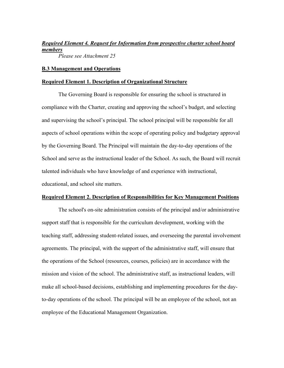### *Required Element 4. Request for Information from prospective charter school board members*

*Please see Attachment 25* 

### **B.3 Management and Operations**

### **Required Element 1. Description of Organizational Structure**

The Governing Board is responsible for ensuring the school is structured in compliance with the Charter, creating and approving the school's budget, and selecting and supervising the school's principal. The school principal will be responsible for all aspects of school operations within the scope of operating policy and budgetary approval by the Governing Board. The Principal will maintain the day-to-day operations of the School and serve as the instructional leader of the School. As such, the Board will recruit talented individuals who have knowledge of and experience with instructional, educational, and school site matters.

### **Required Element 2. Description of Responsibilities for Key Management Positions**

The school's on-site administration consists of the principal and/or administrative support staff that is responsible for the curriculum development, working with the teaching staff, addressing student-related issues, and overseeing the parental involvement agreements. The principal, with the support of the administrative staff, will ensure that the operations of the School (resources, courses, policies) are in accordance with the mission and vision of the school. The administrative staff, as instructional leaders, will make all school-based decisions, establishing and implementing procedures for the dayto-day operations of the school. The principal will be an employee of the school, not an employee of the Educational Management Organization.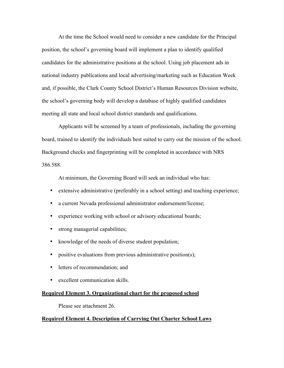At the time the School would need to consider a new candidate for the Principal position, the school's governing board will implement a plan to identify qualified candidates for the administrative positions at the school. Using job placement ads in national industry publications and local advertising/marketing such as Education Week and, if possible, the Clark County School District's Human Resources Division website, the school's governing body will develop a database of highly qualified candidates meeting all state and local school district standards and qualifications.

Applicants will be screened by a team of professionals, including the governing board, trained to identify the individuals best suited to carry out the mission of the school. Background checks and fingerprinting will be completed in accordance with NRS 386.588.

At minimum, the Governing Board will seek an individual who has:

- extensive administrative (preferably in a school setting) and teaching experience;
- a current Nevada professional administrator endorsement/license;
- experience working with school or advisory educational boards;
- strong managerial capabilities;
- knowledge of the needs of diverse student population;
- positive evaluations from previous administrative position(s);
- letters of recommendation; and
- excellent communication skills.

### **Required Element 3. Organizational chart for the proposed school**

Please see attachment 26.

### **Required Element 4. Description of Carrying Out Charter School Laws**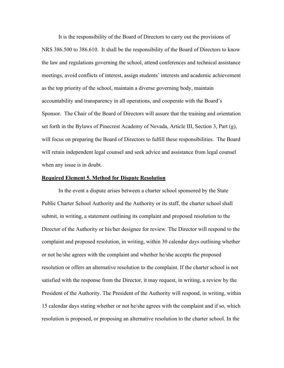It is the responsibility of the Board of Directors to carry out the provisions of NRS 386.500 to 386.610. It shall be the responsibility of the Board of Directors to know the law and regulations governing the school, attend conferences and technical assistance meetings, avoid conflicts of interest, assign students' interests and academic achievement as the top priority of the school, maintain a diverse governing body, maintain accountability and transparency in all operations, and cooperate with the Board's Sponsor. The Chair of the Board of Directors will assure that the training and orientation set forth in the Bylaws of Pinecrest Academy of Nevada, Article III, Section 3, Part (g), will focus on preparing the Board of Directors to fulfill these responsibilities. The Board will retain independent legal counsel and seek advice and assistance from legal counsel when any issue is in doubt.

#### **Required Element 5. Method for Dispute Resolution**

In the event a dispute arises between a charter school sponsored by the State Public Charter School Authority and the Authority or its staff, the charter school shall submit, in writing, a statement outlining its complaint and proposed resolution to the Director of the Authority or his/her designee for review. The Director will respond to the complaint and proposed resolution, in writing, within 30 calendar days outlining whether or not he/she agrees with the complaint and whether he/she accepts the proposed resolution or offers an alternative resolution to the complaint. If the charter school is not satisfied with the response from the Director, it may request, in writing, a review by the President of the Authority. The President of the Authority will respond, in writing, within 15 calendar days stating whether or not he/she agrees with the complaint and if so, which resolution is proposed, or proposing an alternative resolution to the charter school. In the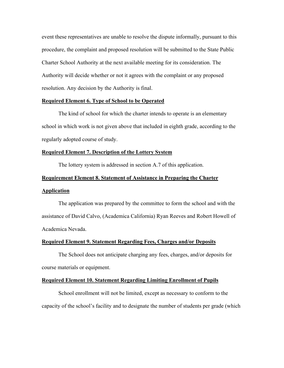event these representatives are unable to resolve the dispute informally, pursuant to this procedure, the complaint and proposed resolution will be submitted to the State Public Charter School Authority at the next available meeting for its consideration. The Authority will decide whether or not it agrees with the complaint or any proposed resolution. Any decision by the Authority is final.

### **Required Element 6. Type of School to be Operated**

The kind of school for which the charter intends to operate is an elementary school in which work is not given above that included in eighth grade, according to the regularly adopted course of study.

### **Required Element 7. Description of the Lottery System**

The lottery system is addressed in section A.7 of this application.

#### **Requirement Element 8. Statement of Assistance in Preparing the Charter**

### **Application**

The application was prepared by the committee to form the school and with the assistance of David Calvo, (Academica California) Ryan Reeves and Robert Howell of Academica Nevada.

#### **Required Element 9. Statement Regarding Fees, Charges and/or Deposits**

The School does not anticipate charging any fees, charges, and/or deposits for course materials or equipment.

### **Required Element 10. Statement Regarding Limiting Enrollment of Pupils**

School enrollment will not be limited, except as necessary to conform to the capacity of the school's facility and to designate the number of students per grade (which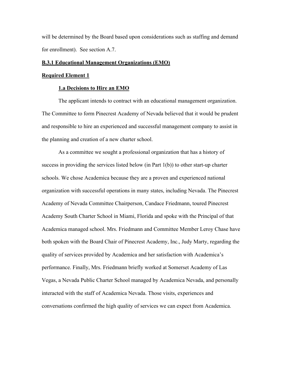will be determined by the Board based upon considerations such as staffing and demand for enrollment). See section A.7.

### **B.3.1 Educational Management Organizations (EMO)**

### **Required Element 1**

### **1.a Decisions to Hire an EMO**

The applicant intends to contract with an educational management organization. The Committee to form Pinecrest Academy of Nevada believed that it would be prudent and responsible to hire an experienced and successful management company to assist in the planning and creation of a new charter school.

As a committee we sought a professional organization that has a history of success in providing the services listed below (in Part 1(b)) to other start-up charter schools. We chose Academica because they are a proven and experienced national organization with successful operations in many states, including Nevada. The Pinecrest Academy of Nevada Committee Chairperson, Candace Friedmann, toured Pinecrest Academy South Charter School in Miami, Florida and spoke with the Principal of that Academica managed school. Mrs. Friedmann and Committee Member Leroy Chase have both spoken with the Board Chair of Pinecrest Academy, Inc., Judy Marty, regarding the quality of services provided by Academica and her satisfaction with Academica's performance. Finally, Mrs. Friedmann briefly worked at Somerset Academy of Las Vegas, a Nevada Public Charter School managed by Academica Nevada, and personally interacted with the staff of Academica Nevada. Those visits, experiences and conversations confirmed the high quality of services we can expect from Academica.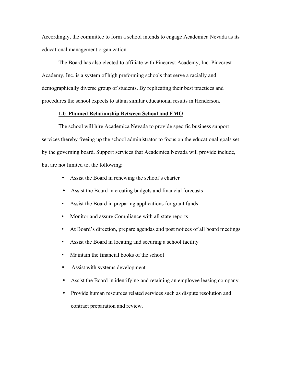Accordingly, the committee to form a school intends to engage Academica Nevada as its educational management organization.

The Board has also elected to affiliate with Pinecrest Academy, Inc. Pinecrest Academy, Inc. is a system of high preforming schools that serve a racially and demographically diverse group of students. By replicating their best practices and procedures the school expects to attain similar educational results in Henderson.

### **1.b Planned Relationship Between School and EMO**

The school will hire Academica Nevada to provide specific business support services thereby freeing up the school administrator to focus on the educational goals set by the governing board. Support services that Academica Nevada will provide include, but are not limited to, the following:

- Assist the Board in renewing the school's charter
- Assist the Board in creating budgets and financial forecasts
- Assist the Board in preparing applications for grant funds
- Monitor and assure Compliance with all state reports
- At Board's direction, prepare agendas and post notices of all board meetings
- Assist the Board in locating and securing a school facility
- Maintain the financial books of the school
- Assist with systems development
- Assist the Board in identifying and retaining an employee leasing company.
- Provide human resources related services such as dispute resolution and contract preparation and review.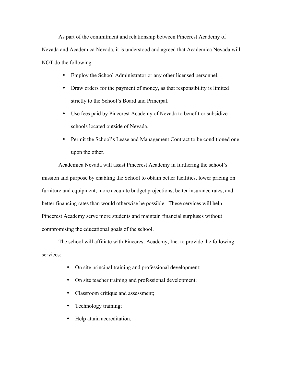As part of the commitment and relationship between Pinecrest Academy of Nevada and Academica Nevada, it is understood and agreed that Academica Nevada will NOT do the following:

- Employ the School Administrator or any other licensed personnel.
- Draw orders for the payment of money, as that responsibility is limited strictly to the School's Board and Principal.
- Use fees paid by Pinecrest Academy of Nevada to benefit or subsidize schools located outside of Nevada.
- Permit the School's Lease and Management Contract to be conditioned one upon the other.

Academica Nevada will assist Pinecrest Academy in furthering the school's mission and purpose by enabling the School to obtain better facilities, lower pricing on furniture and equipment, more accurate budget projections, better insurance rates, and better financing rates than would otherwise be possible. These services will help Pinecrest Academy serve more students and maintain financial surpluses without compromising the educational goals of the school.

The school will affiliate with Pinecrest Academy, Inc. to provide the following services:

- On site principal training and professional development;
- On site teacher training and professional development;
- Classroom critique and assessment;
- Technology training;
- Help attain accreditation.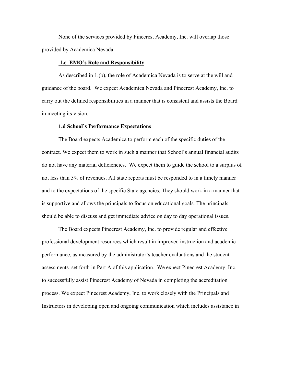None of the services provided by Pinecrest Academy, Inc. will overlap those provided by Academica Nevada.

### **1.c EMO's Role and Responsibility**

As described in 1.(b), the role of Academica Nevada is to serve at the will and guidance of the board. We expect Academica Nevada and Pinecrest Academy, Inc. to carry out the defined responsibilities in a manner that is consistent and assists the Board in meeting its vision.

### **1.d School's Performance Expectations**

The Board expects Academica to perform each of the specific duties of the contract. We expect them to work in such a manner that School's annual financial audits do not have any material deficiencies. We expect them to guide the school to a surplus of not less than 5% of revenues. All state reports must be responded to in a timely manner and to the expectations of the specific State agencies. They should work in a manner that is supportive and allows the principals to focus on educational goals. The principals should be able to discuss and get immediate advice on day to day operational issues.

The Board expects Pinecrest Academy, Inc. to provide regular and effective professional development resources which result in improved instruction and academic performance, as measured by the administrator's teacher evaluations and the student assessments set forth in Part A of this application. We expect Pinecrest Academy, Inc. to successfully assist Pinecrest Academy of Nevada in completing the accreditation process. We expect Pinecrest Academy, Inc. to work closely with the Principals and Instructors in developing open and ongoing communication which includes assistance in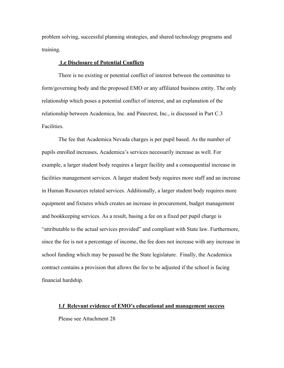problem solving, successful planning strategies, and shared technology programs and training.

### **1.e Disclosure of Potential Conflicts**

There is no existing or potential conflict of interest between the committee to form/governing body and the proposed EMO or any affiliated business entity. The only relationship which poses a potential conflict of interest, and an explanation of the relationship between Academica, Inc. and Pinecrest, Inc., is discussed in Part C.3 **Facilities** 

The fee that Academica Nevada charges is per pupil based. As the number of pupils enrolled increases, Academica's services necessarily increase as well. For example, a larger student body requires a larger facility and a consequential increase in facilities management services. A larger student body requires more staff and an increase in Human Resources related services. Additionally, a larger student body requires more equipment and fixtures which creates an increase in procurement, budget management and bookkeeping services. As a result, basing a fee on a fixed per pupil charge is "attributable to the actual services provided" and compliant with State law. Furthermore, since the fee is not a percentage of income, the fee does not increase with any increase in school funding which may be passed be the State legislature. Finally, the Academica contract contains a provision that allows the fee to be adjusted if the school is facing financial hardship.

### **1.f Relevant evidence of EMO's educational and management success**

Please see Attachment 28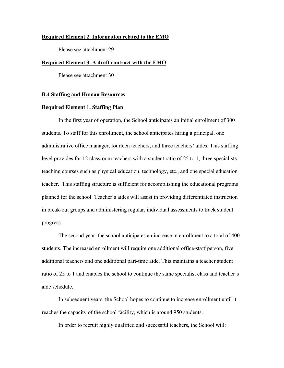### **Required Element 2. Information related to the EMO**

Please see attachment 29

### **Required Element 3. A draft contract with the EMO**

Please see attachment 30

### **B.4 Staffing and Human Resources**

### **Required Element 1. Staffing Plan**

In the first year of operation, the School anticipates an initial enrollment of 300 students. To staff for this enrollment, the school anticipates hiring a principal, one administrative office manager, fourteen teachers, and three teachers' aides. This staffing level provides for 12 classroom teachers with a student ratio of 25 to 1, three specialists teaching courses such as physical education, technology, etc., and one special education teacher. This staffing structure is sufficient for accomplishing the educational programs planned for the school. Teacher's aides will assist in providing differentiated instruction in break-out groups and administering regular, individual assessments to track student progress.

The second year, the school anticipates an increase in enrollment to a total of 400 students. The increased enrollment will require one additional office-staff person, five additional teachers and one additional part-time aide. This maintains a teacher student ratio of 25 to 1 and enables the school to continue the same specialist class and teacher's aide schedule.

In subsequent years, the School hopes to continue to increase enrollment until it reaches the capacity of the school facility, which is around 950 students.

In order to recruit highly qualified and successful teachers, the School will: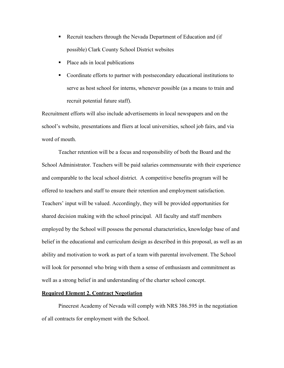- ! Recruit teachers through the Nevada Department of Education and (if possible) Clark County School District websites
- Place ads in local publications
- ! Coordinate efforts to partner with postsecondary educational institutions to serve as host school for interns, whenever possible (as a means to train and recruit potential future staff).

Recruitment efforts will also include advertisements in local newspapers and on the school's website, presentations and fliers at local universities, school job fairs, and via word of mouth.

Teacher retention will be a focus and responsibility of both the Board and the School Administrator. Teachers will be paid salaries commensurate with their experience and comparable to the local school district. A competitive benefits program will be offered to teachers and staff to ensure their retention and employment satisfaction. Teachers' input will be valued. Accordingly, they will be provided opportunities for shared decision making with the school principal. All faculty and staff members employed by the School will possess the personal characteristics, knowledge base of and belief in the educational and curriculum design as described in this proposal, as well as an ability and motivation to work as part of a team with parental involvement. The School will look for personnel who bring with them a sense of enthusiasm and commitment as well as a strong belief in and understanding of the charter school concept.

#### **Required Element 2. Contract Negotiation**

Pinecrest Academy of Nevada will comply with NRS 386.595 in the negotiation of all contracts for employment with the School.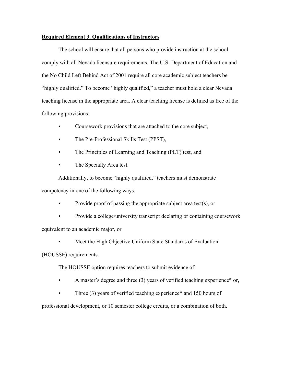### **Required Element 3. Qualifications of Instructors**

The school will ensure that all persons who provide instruction at the school comply with all Nevada licensure requirements. The U.S. Department of Education and the No Child Left Behind Act of 2001 require all core academic subject teachers be "highly qualified." To become "highly qualified," a teacher must hold a clear Nevada teaching license in the appropriate area. A clear teaching license is defined as free of the following provisions:

- Coursework provisions that are attached to the core subject,
- The Pre-Professional Skills Test (PPST),
- The Principles of Learning and Teaching (PLT) test, and
- The Specialty Area test.

Additionally, to become "highly qualified," teachers must demonstrate competency in one of the following ways:

- Provide proof of passing the appropriate subject area test(s), or
- Provide a college/university transcript declaring or containing coursework

equivalent to an academic major, or

Meet the High Objective Uniform State Standards of Evaluation

(HOUSSE) requirements.

The HOUSSE option requires teachers to submit evidence of:

- A master's degree and three (3) years of verified teaching experience\* or,
- Three (3) years of verified teaching experience\* and 150 hours of

professional development, or 10 semester college credits, or a combination of both.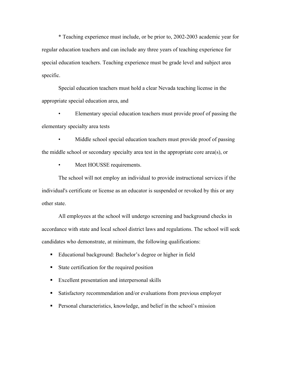\* Teaching experience must include, or be prior to, 2002-2003 academic year for regular education teachers and can include any three years of teaching experience for special education teachers. Teaching experience must be grade level and subject area specific.

Special education teachers must hold a clear Nevada teaching license in the appropriate special education area, and

• Elementary special education teachers must provide proof of passing the elementary specialty area tests

Middle school special education teachers must provide proof of passing the middle school or secondary specialty area test in the appropriate core area(s), or

Meet HOUSSE requirements.

The school will not employ an individual to provide instructional services if the individual's certificate or license as an educator is suspended or revoked by this or any other state.

All employees at the school will undergo screening and background checks in accordance with state and local school district laws and regulations. The school will seek candidates who demonstrate, at minimum, the following qualifications:

- ! Educational background: Bachelor's degree or higher in field
- ! State certification for the required position
- ! Excellent presentation and interpersonal skills
- ! Satisfactory recommendation and/or evaluations from previous employer
- ! Personal characteristics, knowledge, and belief in the school's mission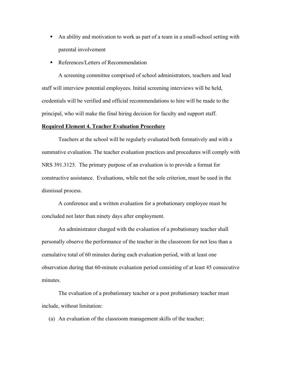- ! An ability and motivation to work as part of a team in a small-school setting with parental involvement
- References/Letters of Recommendation

A screening committee comprised of school administrators, teachers and lead staff will interview potential employees. Initial screening interviews will be held, credentials will be verified and official recommendations to hire will be made to the principal, who will make the final hiring decision for faculty and support staff.

#### **Required Element 4. Teacher Evaluation Procedure**

Teachers at the school will be regularly evaluated both formatively and with a summative evaluation. The teacher evaluation practices and procedures will comply with NRS 391.3125. The primary purpose of an evaluation is to provide a format for constructive assistance. Evaluations, while not the sole criterion, must be used in the dismissal process.

A conference and a written evaluation for a probationary employee must be concluded not later than ninety days after employment.

An administrator charged with the evaluation of a probationary teacher shall personally observe the performance of the teacher in the classroom for not less than a cumulative total of 60 minutes during each evaluation period, with at least one observation during that 60-minute evaluation period consisting of at least 45 consecutive minutes.

The evaluation of a probationary teacher or a post probationary teacher must include, without limitation:

(a) An evaluation of the classroom management skills of the teacher;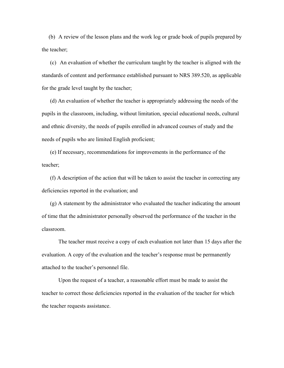(b) A review of the lesson plans and the work log or grade book of pupils prepared by the teacher;

 (c) An evaluation of whether the curriculum taught by the teacher is aligned with the standards of content and performance established pursuant to NRS 389.520, as applicable for the grade level taught by the teacher;

 (d) An evaluation of whether the teacher is appropriately addressing the needs of the pupils in the classroom, including, without limitation, special educational needs, cultural and ethnic diversity, the needs of pupils enrolled in advanced courses of study and the needs of pupils who are limited English proficient;

 (e) If necessary, recommendations for improvements in the performance of the teacher;

 (f) A description of the action that will be taken to assist the teacher in correcting any deficiencies reported in the evaluation; and

 (g) A statement by the administrator who evaluated the teacher indicating the amount of time that the administrator personally observed the performance of the teacher in the classroom.

The teacher must receive a copy of each evaluation not later than 15 days after the evaluation. A copy of the evaluation and the teacher's response must be permanently attached to the teacher's personnel file.

Upon the request of a teacher, a reasonable effort must be made to assist the teacher to correct those deficiencies reported in the evaluation of the teacher for which the teacher requests assistance.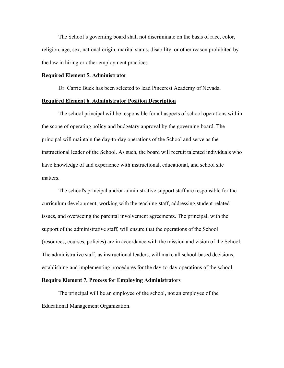The School's governing board shall not discriminate on the basis of race, color, religion, age, sex, national origin, marital status, disability, or other reason prohibited by the law in hiring or other employment practices.

### **Required Element 5. Administrator**

Dr. Carrie Buck has been selected to lead Pinecrest Academy of Nevada.

### **Required Element 6. Administrator Position Description**

The school principal will be responsible for all aspects of school operations within the scope of operating policy and budgetary approval by the governing board. The principal will maintain the day-to-day operations of the School and serve as the instructional leader of the School. As such, the board will recruit talented individuals who have knowledge of and experience with instructional, educational, and school site matters.

The school's principal and/or administrative support staff are responsible for the curriculum development, working with the teaching staff, addressing student-related issues, and overseeing the parental involvement agreements. The principal, with the support of the administrative staff, will ensure that the operations of the School (resources, courses, policies) are in accordance with the mission and vision of the School. The administrative staff, as instructional leaders, will make all school-based decisions, establishing and implementing procedures for the day-to-day operations of the school.

### **Require Element 7. Process for Employing Administrators**

The principal will be an employee of the school, not an employee of the Educational Management Organization.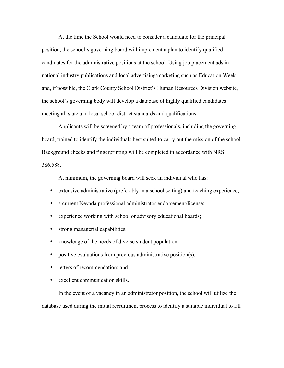At the time the School would need to consider a candidate for the principal position, the school's governing board will implement a plan to identify qualified candidates for the administrative positions at the school. Using job placement ads in national industry publications and local advertising/marketing such as Education Week and, if possible, the Clark County School District's Human Resources Division website, the school's governing body will develop a database of highly qualified candidates meeting all state and local school district standards and qualifications.

Applicants will be screened by a team of professionals, including the governing board, trained to identify the individuals best suited to carry out the mission of the school. Background checks and fingerprinting will be completed in accordance with NRS 386.588.

At minimum, the governing board will seek an individual who has:

- extensive administrative (preferably in a school setting) and teaching experience;
- a current Nevada professional administrator endorsement/license;
- experience working with school or advisory educational boards;
- strong managerial capabilities;
- knowledge of the needs of diverse student population;
- positive evaluations from previous administrative position(s);
- letters of recommendation; and
- excellent communication skills.

In the event of a vacancy in an administrator position, the school will utilize the database used during the initial recruitment process to identify a suitable individual to fill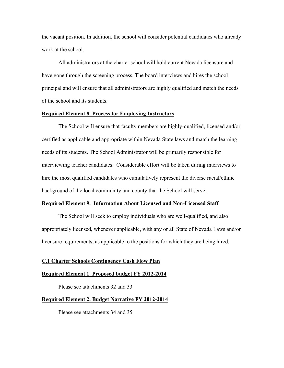the vacant position. In addition, the school will consider potential candidates who already work at the school.

All administrators at the charter school will hold current Nevada licensure and have gone through the screening process. The board interviews and hires the school principal and will ensure that all administrators are highly qualified and match the needs of the school and its students.

### **Required Element 8. Process for Employing Instructors**

The School will ensure that faculty members are highly-qualified, licensed and/or certified as applicable and appropriate within Nevada State laws and match the learning needs of its students. The School Administrator will be primarily responsible for interviewing teacher candidates. Considerable effort will be taken during interviews to hire the most qualified candidates who cumulatively represent the diverse racial/ethnic background of the local community and county that the School will serve.

#### **Required Element 9. Information About Licensed and Non-Licensed Staff**

The School will seek to employ individuals who are well-qualified, and also appropriately licensed, whenever applicable, with any or all State of Nevada Laws and/or licensure requirements, as applicable to the positions for which they are being hired.

### **C.1 Charter Schools Contingency Cash Flow Plan**

#### **Required Element 1. Proposed budget FY 2012-2014**

Please see attachments 32 and 33

### **Required Element 2. Budget Narrative FY 2012-2014**

Please see attachments 34 and 35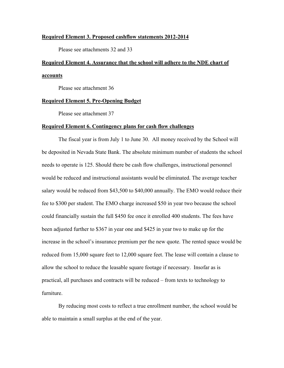#### **Required Element 3. Proposed cashflow statements 2012-2014**

Please see attachments 32 and 33

# **Required Element 4. Assurance that the school will adhere to the NDE chart of accounts**

Please see attachment 36

### **Required Element 5. Pre-Opening Budget**

Please see attachment 37

### **Required Element 6. Contingency plans for cash flow challenges**

The fiscal year is from July 1 to June 30. All money received by the School will be deposited in Nevada State Bank. The absolute minimum number of students the school needs to operate is 125. Should there be cash flow challenges, instructional personnel would be reduced and instructional assistants would be eliminated. The average teacher salary would be reduced from \$43,500 to \$40,000 annually. The EMO would reduce their fee to \$300 per student. The EMO charge increased \$50 in year two because the school could financially sustain the full \$450 fee once it enrolled 400 students. The fees have been adjusted further to \$367 in year one and \$425 in year two to make up for the increase in the school's insurance premium per the new quote. The rented space would be reduced from 15,000 square feet to 12,000 square feet. The lease will contain a clause to allow the school to reduce the leasable square footage if necessary. Insofar as is practical, all purchases and contracts will be reduced – from texts to technology to furniture.

By reducing most costs to reflect a true enrollment number, the school would be able to maintain a small surplus at the end of the year.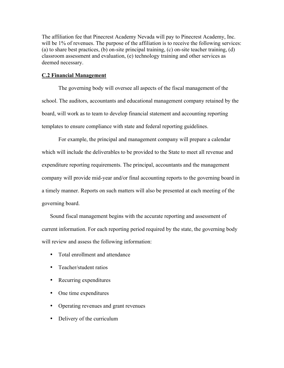The affiliation fee that Pinecrest Academy Nevada will pay to Pinecrest Academy, Inc. will be 1% of revenues. The purpose of the affiliation is to receive the following services: (a) to share best practices, (b) on-site principal training, (c) on-site teacher training, (d) classroom assessment and evaluation, (e) technology training and other services as deemed necessary.

### **C.2 Financial Management**

The governing body will oversee all aspects of the fiscal management of the school. The auditors, accountants and educational management company retained by the board, will work as to team to develop financial statement and accounting reporting templates to ensure compliance with state and federal reporting guidelines.

For example, the principal and management company will prepare a calendar which will include the deliverables to be provided to the State to meet all revenue and expenditure reporting requirements. The principal, accountants and the management company will provide mid-year and/or final accounting reports to the governing board in a timely manner. Reports on such matters will also be presented at each meeting of the governing board.

Sound fiscal management begins with the accurate reporting and assessment of current information. For each reporting period required by the state, the governing body will review and assess the following information:

- Total enrollment and attendance
- Teacher/student ratios
- Recurring expenditures
- One time expenditures
- Operating revenues and grant revenues
- Delivery of the curriculum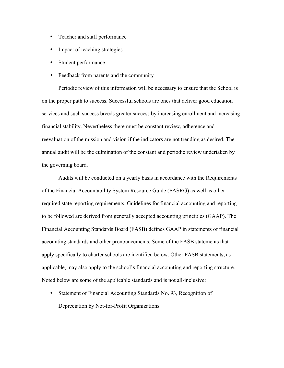- Teacher and staff performance
- Impact of teaching strategies
- Student performance
- Feedback from parents and the community

Periodic review of this information will be necessary to ensure that the School is on the proper path to success. Successful schools are ones that deliver good education services and such success breeds greater success by increasing enrollment and increasing financial stability. Nevertheless there must be constant review, adherence and reevaluation of the mission and vision if the indicators are not trending as desired. The annual audit will be the culmination of the constant and periodic review undertaken by the governing board.

Audits will be conducted on a yearly basis in accordance with the Requirements of the Financial Accountability System Resource Guide (FASRG) as well as other required state reporting requirements. Guidelines for financial accounting and reporting to be followed are derived from generally accepted accounting principles (GAAP). The Financial Accounting Standards Board (FASB) defines GAAP in statements of financial accounting standards and other pronouncements. Some of the FASB statements that apply specifically to charter schools are identified below. Other FASB statements, as applicable, may also apply to the school's financial accounting and reporting structure. Noted below are some of the applicable standards and is not all-inclusive:

• Statement of Financial Accounting Standards No. 93, Recognition of Depreciation by Not-for-Profit Organizations.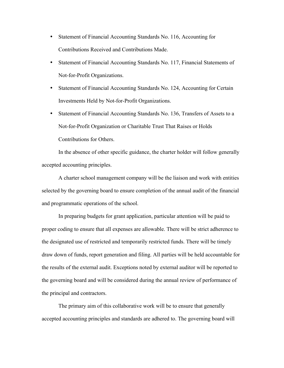- Statement of Financial Accounting Standards No. 116, Accounting for Contributions Received and Contributions Made.
- Statement of Financial Accounting Standards No. 117, Financial Statements of Not-for-Profit Organizations.
- Statement of Financial Accounting Standards No. 124, Accounting for Certain Investments Held by Not-for-Profit Organizations.
- Statement of Financial Accounting Standards No. 136, Transfers of Assets to a Not-for-Profit Organization or Charitable Trust That Raises or Holds Contributions for Others.

In the absence of other specific guidance, the charter holder will follow generally accepted accounting principles.

A charter school management company will be the liaison and work with entities selected by the governing board to ensure completion of the annual audit of the financial and programmatic operations of the school.

In preparing budgets for grant application, particular attention will be paid to proper coding to ensure that all expenses are allowable. There will be strict adherence to the designated use of restricted and temporarily restricted funds. There will be timely draw down of funds, report generation and filing. All parties will be held accountable for the results of the external audit. Exceptions noted by external auditor will be reported to the governing board and will be considered during the annual review of performance of the principal and contractors.

The primary aim of this collaborative work will be to ensure that generally accepted accounting principles and standards are adhered to. The governing board will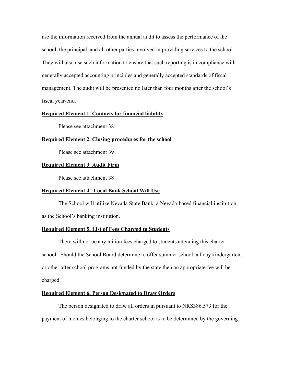use the information received from the annual audit to assess the performance of the school, the principal, and all other parties involved in providing services to the school. They will also use such information to ensure that such reporting is in compliance with generally accepted accounting principles and generally accepted standards of fiscal management. The audit will be presented no later than four months after the school's fiscal year-end.

### **Required Element 1. Contacts for financial liability**

Please see attachment 38

### **Required Element 2. Closing procedures for the school**

Please see attachment 39

### **Required Element 3. Audit Firm**

Please see attachment 38

### **Required Element 4. Local Bank School Will Use**

The School will utilize Nevada State Bank, a Nevada-based financial institution, as the School's banking institution.

### **Required Element 5. List of Fees Charged to Students**

There will not be any tuition fees charged to students attending this charter school. Should the School Board determine to offer summer school, all day kindergarten, or other after school programs not funded by the state then an appropriate fee will be charged.

### **Required Element 6. Person Designated to Draw Orders**

The person designated to draw all orders in pursuant to NRS386.573 for the payment of monies belonging to the charter school is to be determined by the governing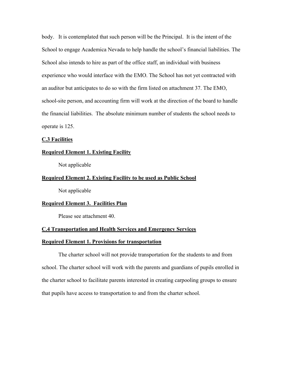body. It is contemplated that such person will be the Principal. It is the intent of the School to engage Academica Nevada to help handle the school's financial liabilities. The School also intends to hire as part of the office staff, an individual with business experience who would interface with the EMO. The School has not yet contracted with an auditor but anticipates to do so with the firm listed on attachment 37. The EMO, school-site person, and accounting firm will work at the direction of the board to handle the financial liabilities. The absolute minimum number of students the school needs to operate is 125.

### **C.3 Facilities**

### **Required Element 1. Existing Facility**

Not applicable

### **Required Element 2. Existing Facility to be used as Public School**

Not applicable

#### **Required Element 3. Facilities Plan**

Please see attachment 40.

### **C.4 Transportation and Health Services and Emergency Services**

#### **Required Element 1. Provisions for transportation**

The charter school will not provide transportation for the students to and from school. The charter school will work with the parents and guardians of pupils enrolled in the charter school to facilitate parents interested in creating carpooling groups to ensure that pupils have access to transportation to and from the charter school.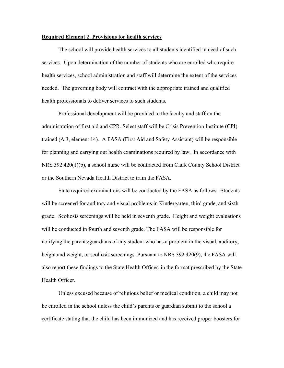#### **Required Element 2. Provisions for health services**

The school will provide health services to all students identified in need of such services. Upon determination of the number of students who are enrolled who require health services, school administration and staff will determine the extent of the services needed. The governing body will contract with the appropriate trained and qualified health professionals to deliver services to such students.

Professional development will be provided to the faculty and staff on the administration of first aid and CPR. Select staff will be Crisis Prevention Institute (CPI) trained (A.3, element 14). A FASA (First Aid and Safety Assistant) will be responsible for planning and carrying out health examinations required by law. In accordance with NRS 392.420(1)(b), a school nurse will be contracted from Clark County School District or the Southern Nevada Health District to train the FASA.

State required examinations will be conducted by the FASA as follows. Students will be screened for auditory and visual problems in Kindergarten, third grade, and sixth grade. Scoliosis screenings will be held in seventh grade. Height and weight evaluations will be conducted in fourth and seventh grade. The FASA will be responsible for notifying the parents/guardians of any student who has a problem in the visual, auditory, height and weight, or scoliosis screenings. Pursuant to NRS 392.420(9), the FASA will also report these findings to the State Health Officer, in the format prescribed by the State Health Officer.

Unless excused because of religious belief or medical condition, a child may not be enrolled in the school unless the child's parents or guardian submit to the school a certificate stating that the child has been immunized and has received proper boosters for